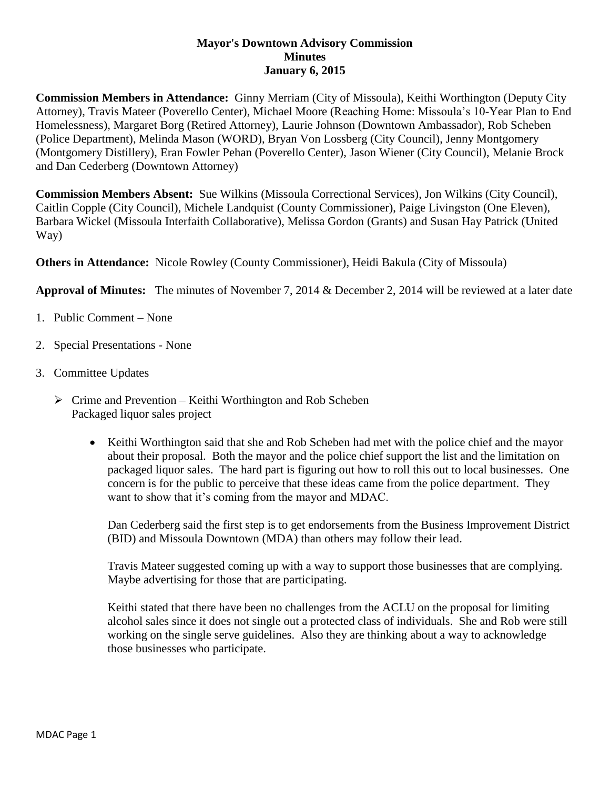## **Mayor's Downtown Advisory Commission Minutes January 6, 2015**

**Commission Members in Attendance:** Ginny Merriam (City of Missoula), Keithi Worthington (Deputy City Attorney), Travis Mateer (Poverello Center), Michael Moore (Reaching Home: Missoula's 10-Year Plan to End Homelessness), Margaret Borg (Retired Attorney), Laurie Johnson (Downtown Ambassador), Rob Scheben (Police Department), Melinda Mason (WORD), Bryan Von Lossberg (City Council), Jenny Montgomery (Montgomery Distillery), Eran Fowler Pehan (Poverello Center), Jason Wiener (City Council), Melanie Brock and Dan Cederberg (Downtown Attorney)

**Commission Members Absent:** Sue Wilkins (Missoula Correctional Services), Jon Wilkins (City Council), Caitlin Copple (City Council), Michele Landquist (County Commissioner), Paige Livingston (One Eleven), Barbara Wickel (Missoula Interfaith Collaborative), Melissa Gordon (Grants) and Susan Hay Patrick (United Way)

**Others in Attendance:** Nicole Rowley (County Commissioner), Heidi Bakula (City of Missoula)

**Approval of Minutes:** The minutes of November 7, 2014 & December 2, 2014 will be reviewed at a later date

- 1. Public Comment None
- 2. Special Presentations None
- 3. Committee Updates
	- $\triangleright$  Crime and Prevention Keithi Worthington and Rob Scheben Packaged liquor sales project
		- Keithi Worthington said that she and Rob Scheben had met with the police chief and the mayor about their proposal. Both the mayor and the police chief support the list and the limitation on packaged liquor sales. The hard part is figuring out how to roll this out to local businesses. One concern is for the public to perceive that these ideas came from the police department. They want to show that it's coming from the mayor and MDAC.

Dan Cederberg said the first step is to get endorsements from the Business Improvement District (BID) and Missoula Downtown (MDA) than others may follow their lead.

Travis Mateer suggested coming up with a way to support those businesses that are complying. Maybe advertising for those that are participating.

Keithi stated that there have been no challenges from the ACLU on the proposal for limiting alcohol sales since it does not single out a protected class of individuals. She and Rob were still working on the single serve guidelines. Also they are thinking about a way to acknowledge those businesses who participate.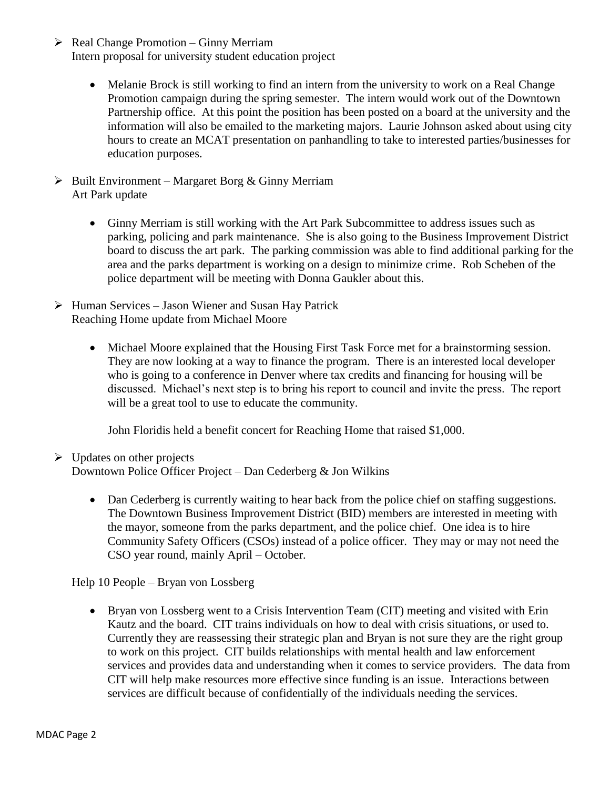- $\triangleright$  Real Change Promotion Ginny Merriam Intern proposal for university student education project
	- Melanie Brock is still working to find an intern from the university to work on a Real Change Promotion campaign during the spring semester. The intern would work out of the Downtown Partnership office. At this point the position has been posted on a board at the university and the information will also be emailed to the marketing majors. Laurie Johnson asked about using city hours to create an MCAT presentation on panhandling to take to interested parties/businesses for education purposes.
- $\triangleright$  Built Environment Margaret Borg & Ginny Merriam Art Park update
	- Ginny Merriam is still working with the Art Park Subcommittee to address issues such as parking, policing and park maintenance. She is also going to the Business Improvement District board to discuss the art park. The parking commission was able to find additional parking for the area and the parks department is working on a design to minimize crime. Rob Scheben of the police department will be meeting with Donna Gaukler about this.
- $\triangleright$  Human Services Jason Wiener and Susan Hay Patrick Reaching Home update from Michael Moore
	- Michael Moore explained that the Housing First Task Force met for a brainstorming session. They are now looking at a way to finance the program. There is an interested local developer who is going to a conference in Denver where tax credits and financing for housing will be discussed. Michael's next step is to bring his report to council and invite the press. The report will be a great tool to use to educate the community.

John Floridis held a benefit concert for Reaching Home that raised \$1,000.

- $\triangleright$  Updates on other projects Downtown Police Officer Project – Dan Cederberg & Jon Wilkins
	- Dan Cederberg is currently waiting to hear back from the police chief on staffing suggestions. The Downtown Business Improvement District (BID) members are interested in meeting with the mayor, someone from the parks department, and the police chief. One idea is to hire Community Safety Officers (CSOs) instead of a police officer. They may or may not need the CSO year round, mainly April – October.

Help 10 People – Bryan von Lossberg

 Bryan von Lossberg went to a Crisis Intervention Team (CIT) meeting and visited with Erin Kautz and the board. CIT trains individuals on how to deal with crisis situations, or used to. Currently they are reassessing their strategic plan and Bryan is not sure they are the right group to work on this project. CIT builds relationships with mental health and law enforcement services and provides data and understanding when it comes to service providers. The data from CIT will help make resources more effective since funding is an issue. Interactions between services are difficult because of confidentially of the individuals needing the services.